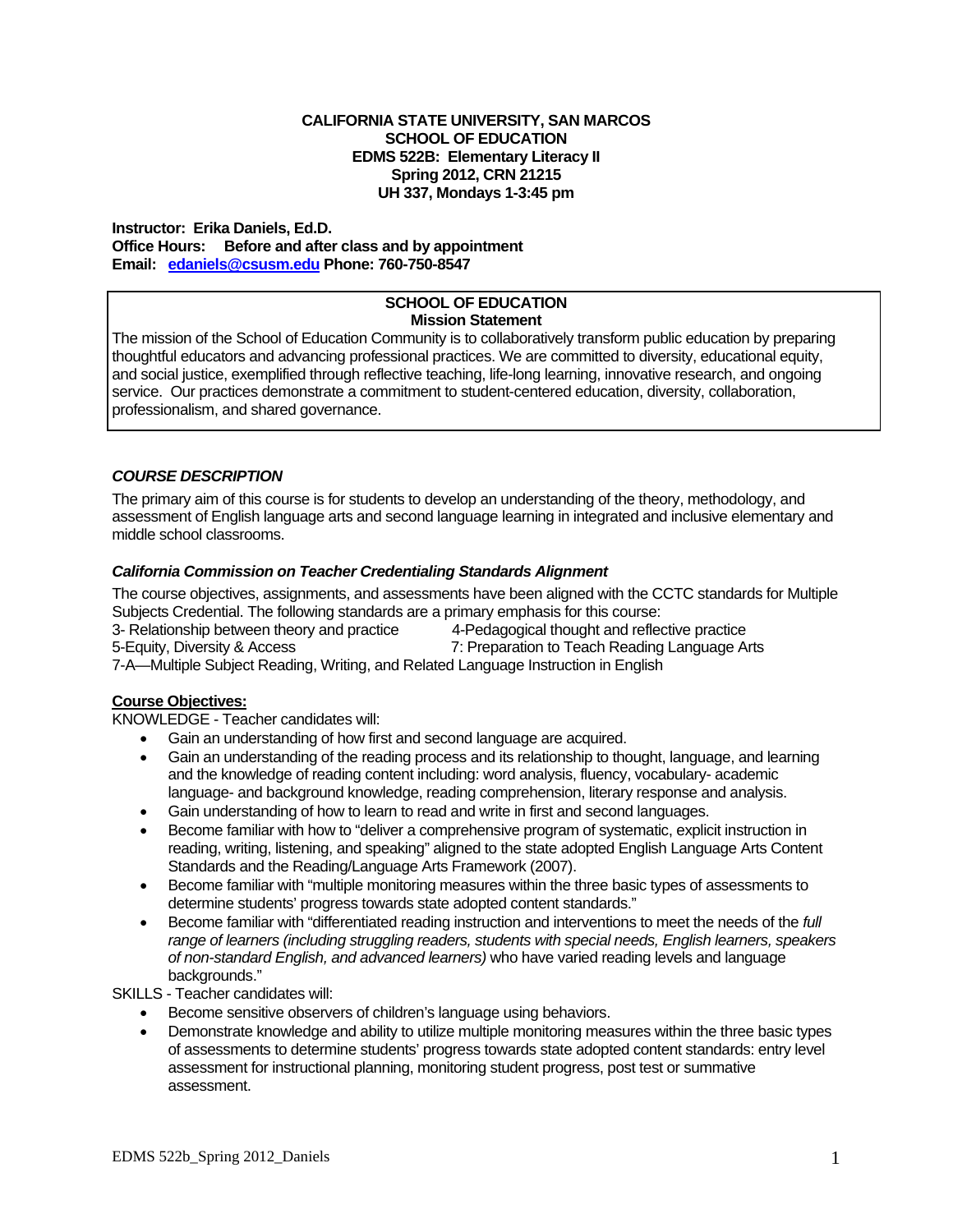#### **EDMS 522B: Elementary Literacy II CALIFORNIA STATE UNIVERSITY, SAN MARCOS SCHOOL OF EDUCATION Spring 2012, CRN 21215 UH 337, Mondays 1-3:45 pm**

 **Office Hours: Before and after class and by appointment Instructor: Erika Daniels, Ed.D. Email: edaniels@csusm.edu Phone: 760-750-8547** 

#### **SCHOOL OF EDUCATION Mission Statement**

The mission of the School of Education Community is to collaboratively transform public education by preparing thoughtful educators and advancing professional practices. We are committed to diversity, educational equity, and social justice, exemplified through reflective teaching, life-long learning, innovative research, and ongoing service. Our practices demonstrate a commitment to student-centered education, diversity, collaboration, professionalism, and shared governance.

## *COURSE DESCRIPTION*

The primary aim of this course is for students to develop an understanding of the theory, methodology, and assessment of English language arts and second language learning in integrated and inclusive elementary and middle school classrooms.

## *California Commission on Teacher Credentialing Standards Alignment*

 Subjects Credential. The following standards are a primary emphasis for this course: The course objectives, assignments, and assessments have been aligned with the CCTC standards for Multiple

3- Relationship between theory and practice 4-Pedagogical thought and reflective practice

5-Equity, Diversity & Access 7: Preparation to Teach Reading Language Arts

7-A—Multiple Subject Reading, Writing, and Related Language Instruction in English

## **Course Objectives:**

KNOWLEDGE - Teacher candidates will:

- Gain an understanding of how first and second language are acquired.
- Gain an understanding of the reading process and its relationship to thought, language, and learning and the knowledge of reading content including: word analysis, fluency, vocabulary- academic language- and background knowledge, reading comprehension, literary response and analysis.
- Gain understanding of how to learn to read and write in first and second languages.
- Become familiar with how to "deliver a comprehensive program of systematic, explicit instruction in reading, writing, listening, and speaking" aligned to the state adopted English Language Arts Content Standards and the Reading/Language Arts Framework (2007).
- Become familiar with "multiple monitoring measures within the three basic types of assessments to determine students' progress towards state adopted content standards."
- Become familiar with "differentiated reading instruction and interventions to meet the needs of the *full range of learners (including struggling readers, students with special needs, English learners, speakers of non-standard English, and advanced learners)* who have varied reading levels and language backgrounds."

SKILLS - Teacher candidates will:

- Become sensitive observers of children's language using behaviors.
- Demonstrate knowledge and ability to utilize multiple monitoring measures within the three basic types of assessments to determine students' progress towards state adopted content standards: entry level assessment for instructional planning, monitoring student progress, post test or summative assessment.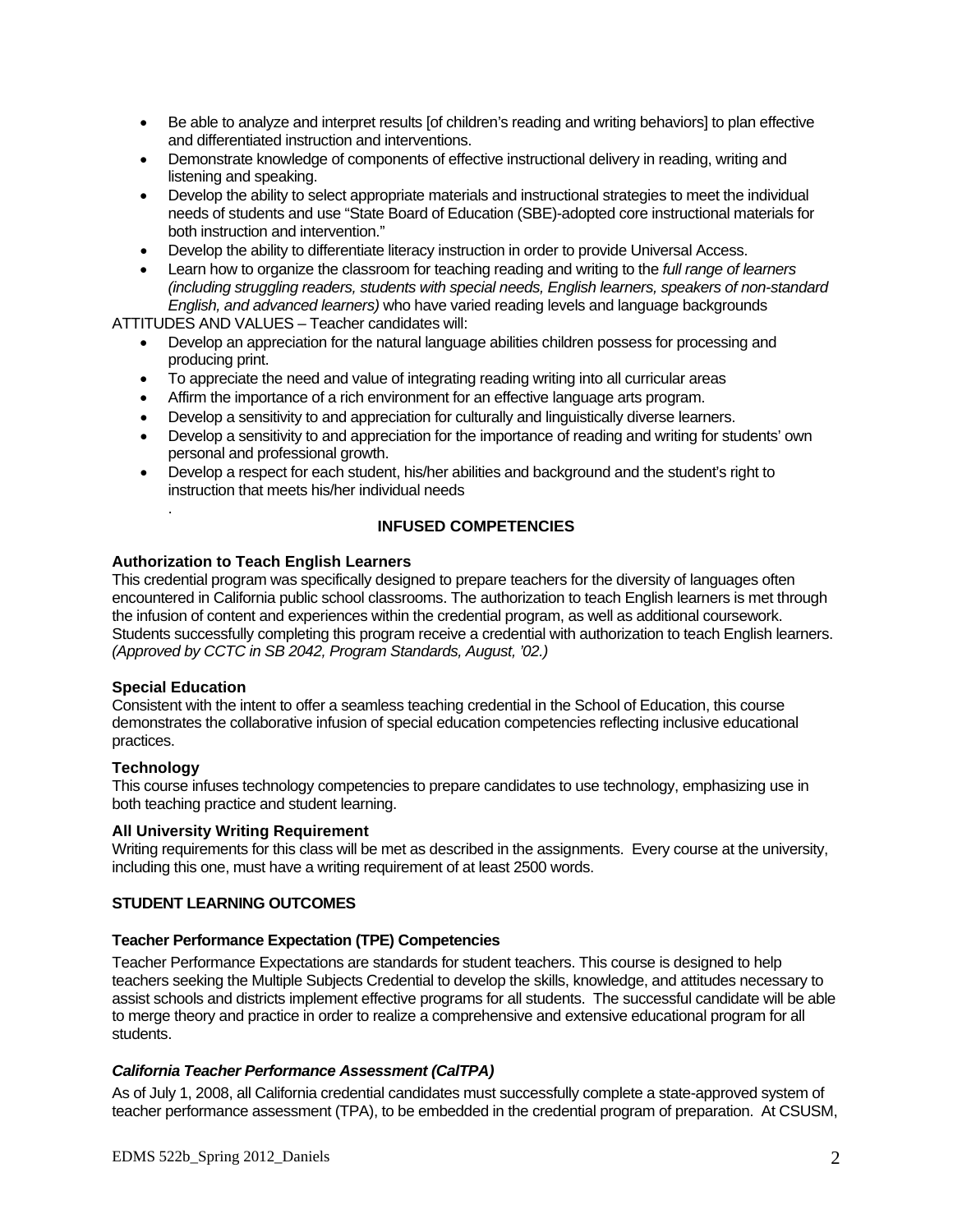- Be able to analyze and interpret results [of children's reading and writing behaviors] to plan effective and differentiated instruction and interventions.
- Demonstrate knowledge of components of effective instructional delivery in reading, writing and listening and speaking.
- Develop the ability to select appropriate materials and instructional strategies to meet the individual needs of students and use "State Board of Education (SBE)-adopted core instructional materials for both instruction and intervention."
- Develop the ability to differentiate literacy instruction in order to provide Universal Access.
- Learn how to organize the classroom for teaching reading and writing to the *full range of learners (including struggling readers, students with special needs, English learners, speakers of non-standard English, and advanced learners)* who have varied reading levels and language backgrounds

ATTITUDES AND VALUES – Teacher candidates will:

- Develop an appreciation for the natural language abilities children possess for processing and producing print.
- To appreciate the need and value of integrating reading writing into all curricular areas
- Affirm the importance of a rich environment for an effective language arts program.
- Develop a sensitivity to and appreciation for culturally and linguistically diverse learners.
- Develop a sensitivity to and appreciation for the importance of reading and writing for students' own personal and professional growth.
- Develop a respect for each student, his/her abilities and background and the student's right to instruction that meets his/her individual needs

## **INFUSED COMPETENCIES**

#### **Authorization to Teach English Learners**

This credential program was specifically designed to prepare teachers for the diversity of languages often encountered in California public school classrooms. The authorization to teach English learners is met through the infusion of content and experiences within the credential program, as well as additional coursework. Students successfully completing this program receive a credential with authorization to teach English learners. *(Approved by CCTC in SB 2042, Program Standards, August, '02.)* 

#### **Special Education**

.

Consistent with the intent to offer a seamless teaching credential in the School of Education, this course demonstrates the collaborative infusion of special education competencies reflecting inclusive educational practices.

#### **Technology**

This course infuses technology competencies to prepare candidates to use technology, emphasizing use in both teaching practice and student learning.

## **All University Writing Requirement**

Writing requirements for this class will be met as described in the assignments. Every course at the university, including this one, must have a writing requirement of at least 2500 words.

#### **STUDENT LEARNING OUTCOMES**

#### **Teacher Performance Expectation (TPE) Competencies**

Teacher Performance Expectations are standards for student teachers. This course is designed to help teachers seeking the Multiple Subjects Credential to develop the skills, knowledge, and attitudes necessary to assist schools and districts implement effective programs for all students. The successful candidate will be able to merge theory and practice in order to realize a comprehensive and extensive educational program for all students.

#### *California Teacher Performance Assessment (CalTPA)*

As of July 1, 2008, all California credential candidates must successfully complete a state-approved system of teacher performance assessment (TPA), to be embedded in the credential program of preparation. At CSUSM,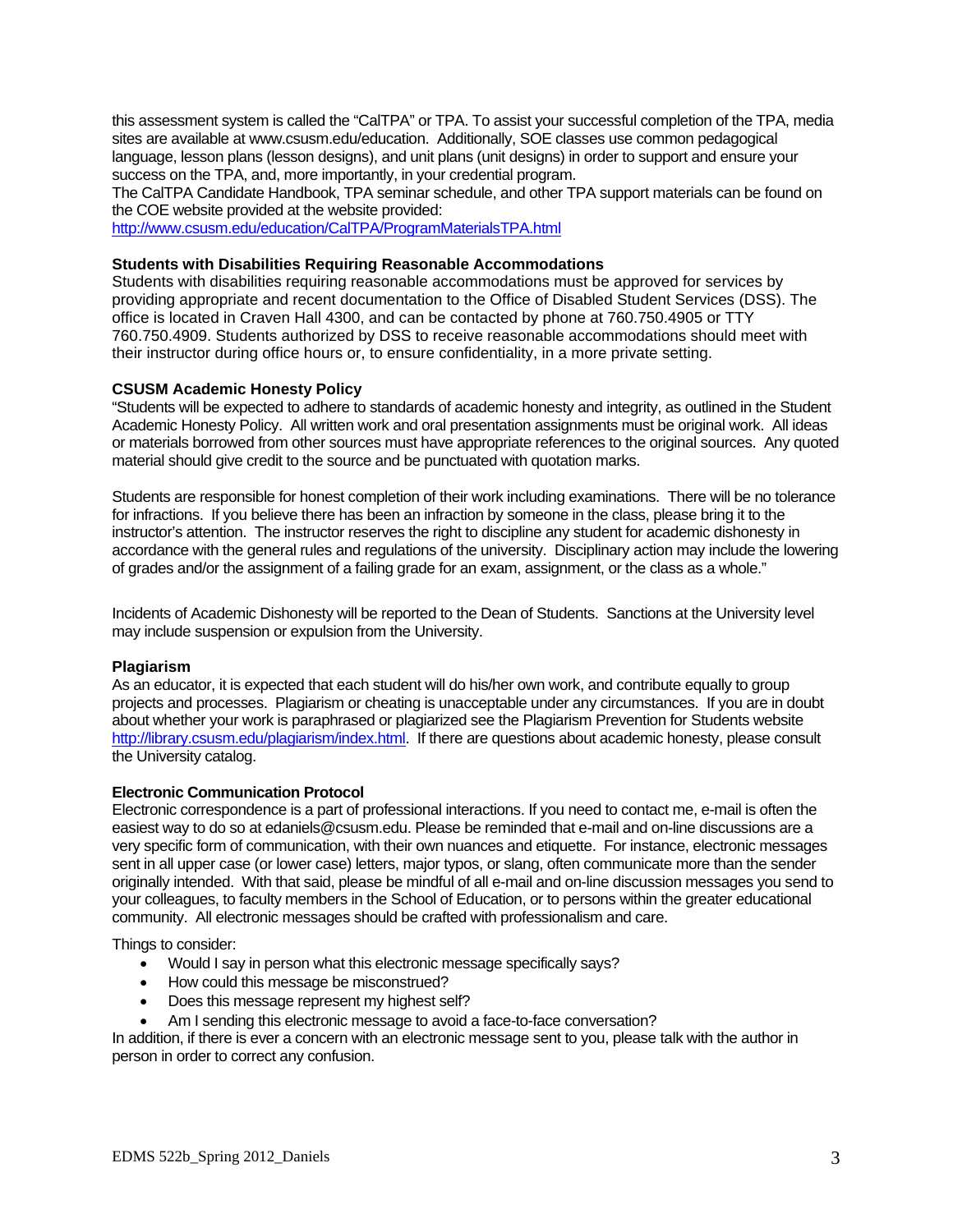this assessment system is called the "CalTPA" or TPA. To assist your successful completion of the TPA, media sites are available at www.csusm.edu/education. Additionally, SOE classes use common pedagogical language, lesson plans (lesson designs), and unit plans (unit designs) in order to support and ensure your success on the TPA, and, more importantly, in your credential program.

The CalTPA Candidate Handbook, TPA seminar schedule, and other TPA support materials can be found on the COE website provided at the website provided:

http://www.csusm.edu/education/CalTPA/ProgramMaterialsTPA.html

#### **Students with Disabilities Requiring Reasonable Accommodations**

Students with disabilities requiring reasonable accommodations must be approved for services by providing appropriate and recent documentation to the Office of Disabled Student Services (DSS). The office is located in Craven Hall 4300, and can be contacted by phone at 760.750.4905 or TTY 760.750.4909. Students authorized by DSS to receive reasonable accommodations should meet with their instructor during office hours or, to ensure confidentiality, in a more private setting.

## **CSUSM Academic Honesty Policy**

"Students will be expected to adhere to standards of academic honesty and integrity, as outlined in the Student Academic Honesty Policy. All written work and oral presentation assignments must be original work. All ideas or materials borrowed from other sources must have appropriate references to the original sources. Any quoted material should give credit to the source and be punctuated with quotation marks.

Students are responsible for honest completion of their work including examinations. There will be no tolerance for infractions. If you believe there has been an infraction by someone in the class, please bring it to the instructor's attention. The instructor reserves the right to discipline any student for academic dishonesty in accordance with the general rules and regulations of the university. Disciplinary action may include the lowering of grades and/or the assignment of a failing grade for an exam, assignment, or the class as a whole."

Incidents of Academic Dishonesty will be reported to the Dean of Students. Sanctions at the University level may include suspension or expulsion from the University.

#### **Plagiarism**

 projects and processes. Plagiarism or cheating is unacceptable under any circumstances. If you are in doubt As an educator, it is expected that each student will do his/her own work, and contribute equally to group about whether your work is paraphrased or plagiarized see the Plagiarism Prevention for Students website http://library.csusm.edu/plagiarism/index.html. If there are questions about academic honesty, please consult the University catalog.

#### **Electronic Communication Protocol**

 sent in all upper case (or lower case) letters, major typos, or slang, often communicate more than the sender Electronic correspondence is a part of professional interactions. If you need to contact me, e-mail is often the easiest way to do so at edaniels@csusm.edu. Please be reminded that e-mail and on-line discussions are a very specific form of communication, with their own nuances and etiquette. For instance, electronic messages originally intended. With that said, please be mindful of all e-mail and on-line discussion messages you send to your colleagues, to faculty members in the School of Education, or to persons within the greater educational community. All electronic messages should be crafted with professionalism and care.

Things to consider:

- Would I say in person what this electronic message specifically says?
- How could this message be misconstrued?
- Does this message represent my highest self?
- Am I sending this electronic message to avoid a face-to-face conversation?

In addition, if there is ever a concern with an electronic message sent to you, please talk with the author in person in order to correct any confusion.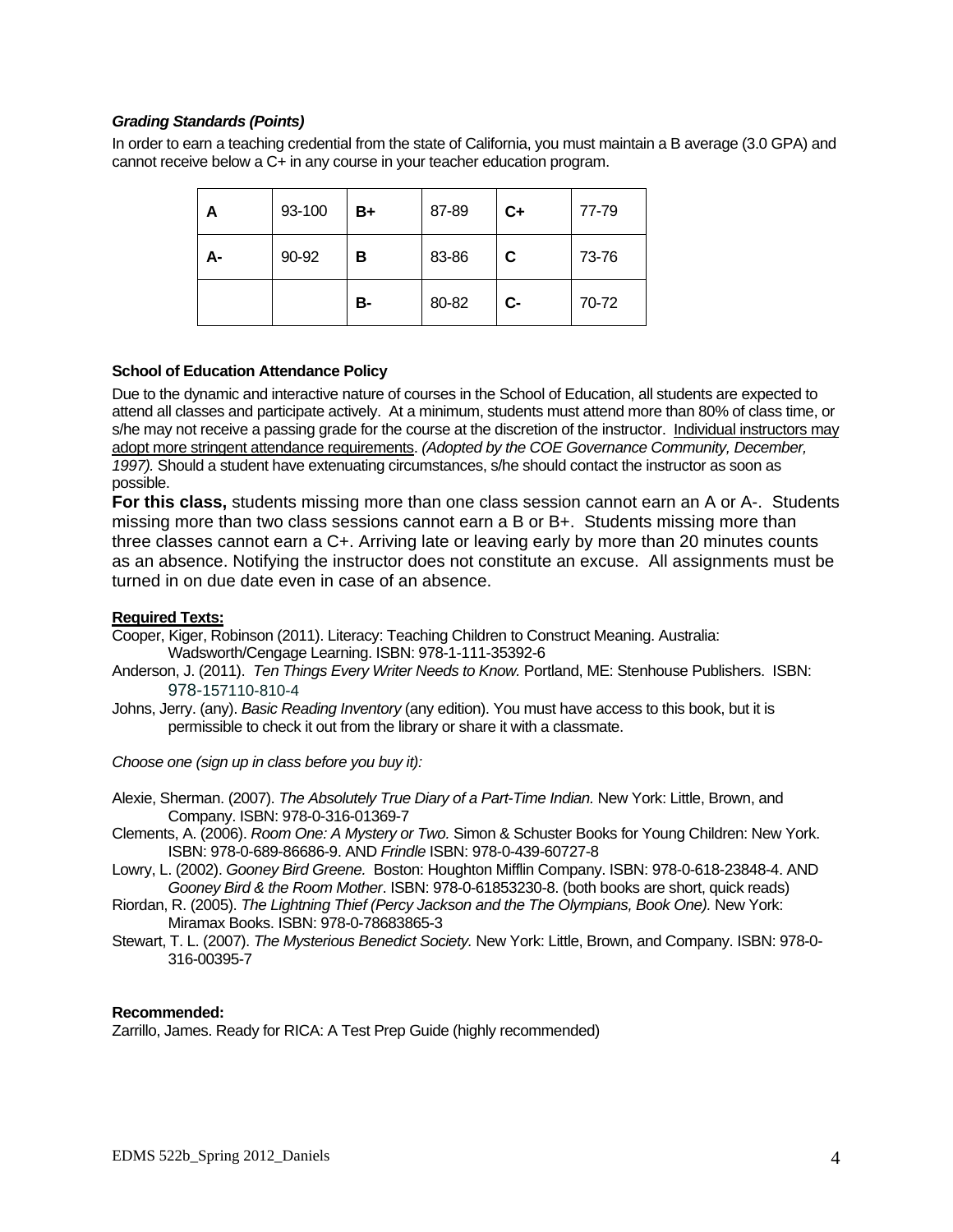## *Grading Standards (Points)*

In order to earn a teaching credential from the state of California, you must maintain a B average (3.0 GPA) and cannot receive below a C+ in any course in your teacher education program.

| А  | 93-100 | B+ | 87-89 | $C+$ | 77-79 |
|----|--------|----|-------|------|-------|
| А- | 90-92  | в  | 83-86 | C    | 73-76 |
|    |        | в- | 80-82 | $c-$ | 70-72 |

#### **School of Education Attendance Policy**

Due to the dynamic and interactive nature of courses in the School of Education, all students are expected to attend all classes and participate actively. At a minimum, students must attend more than 80% of class time, or s/he may not receive a passing grade for the course at the discretion of the instructor. Individual instructors may adopt more stringent attendance requirements. *(Adopted by the COE Governance Community, December, 1997).* Should a student have extenuating circumstances, s/he should contact the instructor as soon as possible.

**For this class,** students missing more than one class session cannot earn an A or A-. Students missing more than two class sessions cannot earn a B or B+. Students missing more than three classes cannot earn a C+. Arriving late or leaving early by more than 20 minutes counts as an absence. Notifying the instructor does not constitute an excuse. All assignments must be turned in on due date even in case of an absence.

#### **Required Texts:**

Cooper, Kiger, Robinson (2011). Literacy: Teaching Children to Construct Meaning. Australia: Wadsworth/Cengage Learning. ISBN: 978-1-111-35392-6

- Anderson, J. (2011). *Ten Things Every Writer Needs to Know.* Portland, ME: Stenhouse Publishers. ISBN: 978-157110-810-4
- Johns, Jerry. (any). *Basic Reading Inventory* (any edition). You must have access to this book, but it is permissible to check it out from the library or share it with a classmate.

*Choose one (sign up in class before you buy it):* 

Alexie, Sherman. (2007). *The Absolutely True Diary of a Part-Time Indian.* New York: Little, Brown, and Company. ISBN: 978-0-316-01369-7

- Clements, A. (2006). *Room One: A Mystery or Two.* Simon & Schuster Books for Young Children: New York. ISBN: 978-0-689-86686-9. AND *Frindle* ISBN: 978-0-439-60727-8
- Lowry, L. (2002). *Gooney Bird Greene.* Boston: Houghton Mifflin Company. ISBN: 978-0-618-23848-4. AND *Gooney Bird & the Room Mother*. ISBN: 978-0-61853230-8. (both books are short, quick reads)
- Riordan, R. (2005). *The Lightning Thief (Percy Jackson and the The Olympians, Book One).* New York: Miramax Books. ISBN: 978-0-78683865-3

Stewart, T. L. (2007). *The Mysterious Benedict Society.* New York: Little, Brown, and Company. ISBN: 978-0- 316-00395-7

#### **Recommended:**

Zarrillo, James. Ready for RICA: A Test Prep Guide (highly recommended)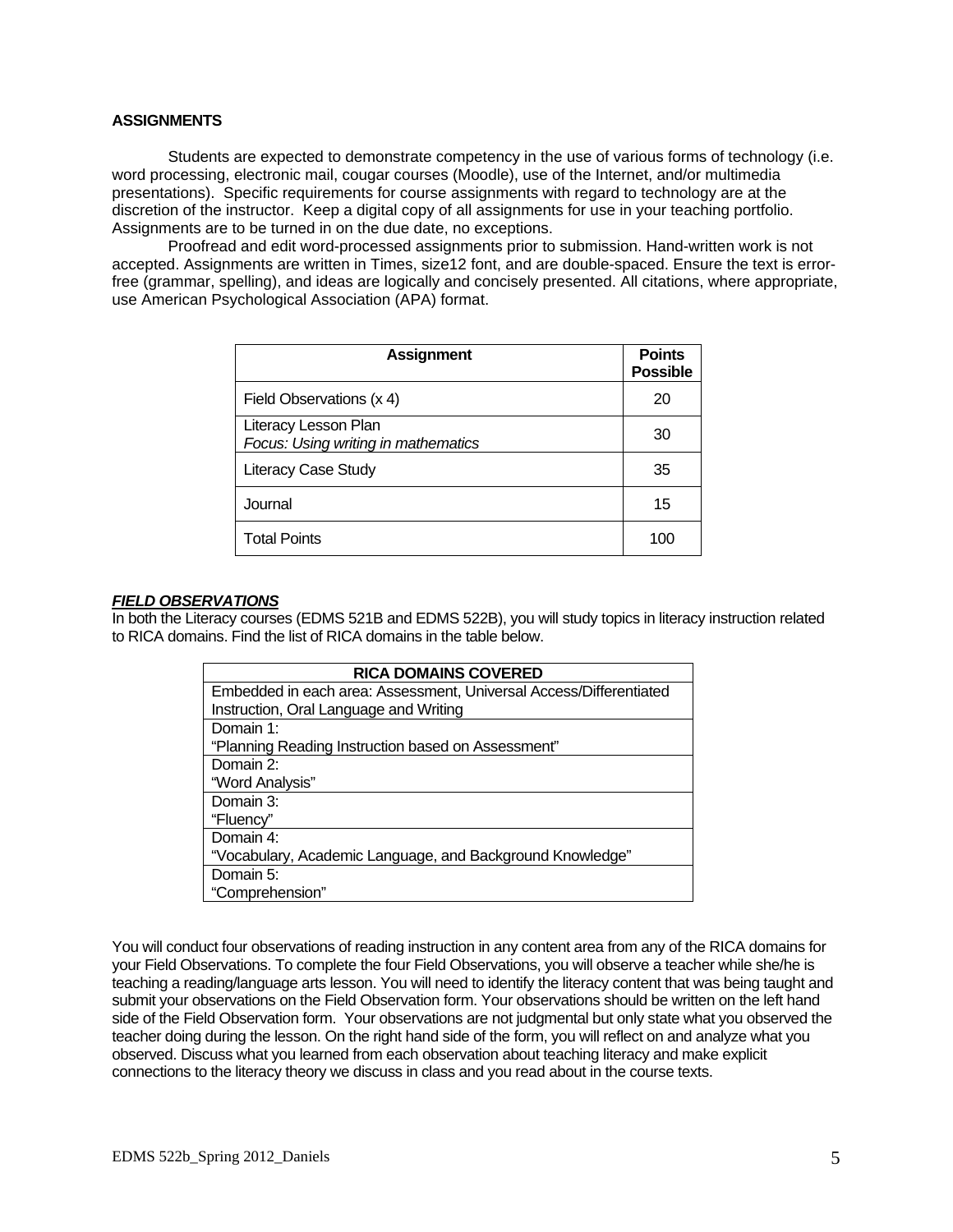#### **ASSIGNMENTS**

Students are expected to demonstrate competency in the use of various forms of technology (i.e. word processing, electronic mail, cougar courses (Moodle), use of the Internet, and/or multimedia presentations). Specific requirements for course assignments with regard to technology are at the discretion of the instructor. Keep a digital copy of all assignments for use in your teaching portfolio. Assignments are to be turned in on the due date, no exceptions.

Proofread and edit word-processed assignments prior to submission. Hand-written work is not accepted. Assignments are written in Times, size12 font, and are double-spaced. Ensure the text is errorfree (grammar, spelling), and ideas are logically and concisely presented. All citations, where appropriate, use American Psychological Association (APA) format.

| <b>Assignment</b>                                           | <b>Points</b><br><b>Possible</b> |
|-------------------------------------------------------------|----------------------------------|
| Field Observations (x 4)                                    | 20                               |
| Literacy Lesson Plan<br>Focus: Using writing in mathematics | 30                               |
| <b>Literacy Case Study</b>                                  | 35                               |
| Journal                                                     | 15                               |
| <b>Total Points</b>                                         | 100                              |

#### *FIELD OBSERVATIONS*

In both the Literacy courses (EDMS 521B and EDMS 522B), you will study topics in literacy instruction related to RICA domains. Find the list of RICA domains in the table below.

| <b>RICA DOMAINS COVERED</b>                                        |  |  |  |
|--------------------------------------------------------------------|--|--|--|
| Embedded in each area: Assessment, Universal Access/Differentiated |  |  |  |
| Instruction, Oral Language and Writing                             |  |  |  |
| Domain 1:                                                          |  |  |  |
| "Planning Reading Instruction based on Assessment"                 |  |  |  |
| Domain 2:                                                          |  |  |  |
| "Word Analysis"                                                    |  |  |  |
| Domain 3:                                                          |  |  |  |
| "Fluency"                                                          |  |  |  |
| Domain 4:                                                          |  |  |  |
| "Vocabulary, Academic Language, and Background Knowledge"          |  |  |  |
| Domain 5:                                                          |  |  |  |
| "Comprehension"                                                    |  |  |  |

You will conduct four observations of reading instruction in any content area from any of the RICA domains for your Field Observations. To complete the four Field Observations, you will observe a teacher while she/he is teaching a reading/language arts lesson. You will need to identify the literacy content that was being taught and submit your observations on the Field Observation form. Your observations should be written on the left hand side of the Field Observation form. Your observations are not judgmental but only state what you observed the teacher doing during the lesson. On the right hand side of the form, you will reflect on and analyze what you observed. Discuss what you learned from each observation about teaching literacy and make explicit connections to the literacy theory we discuss in class and you read about in the course texts.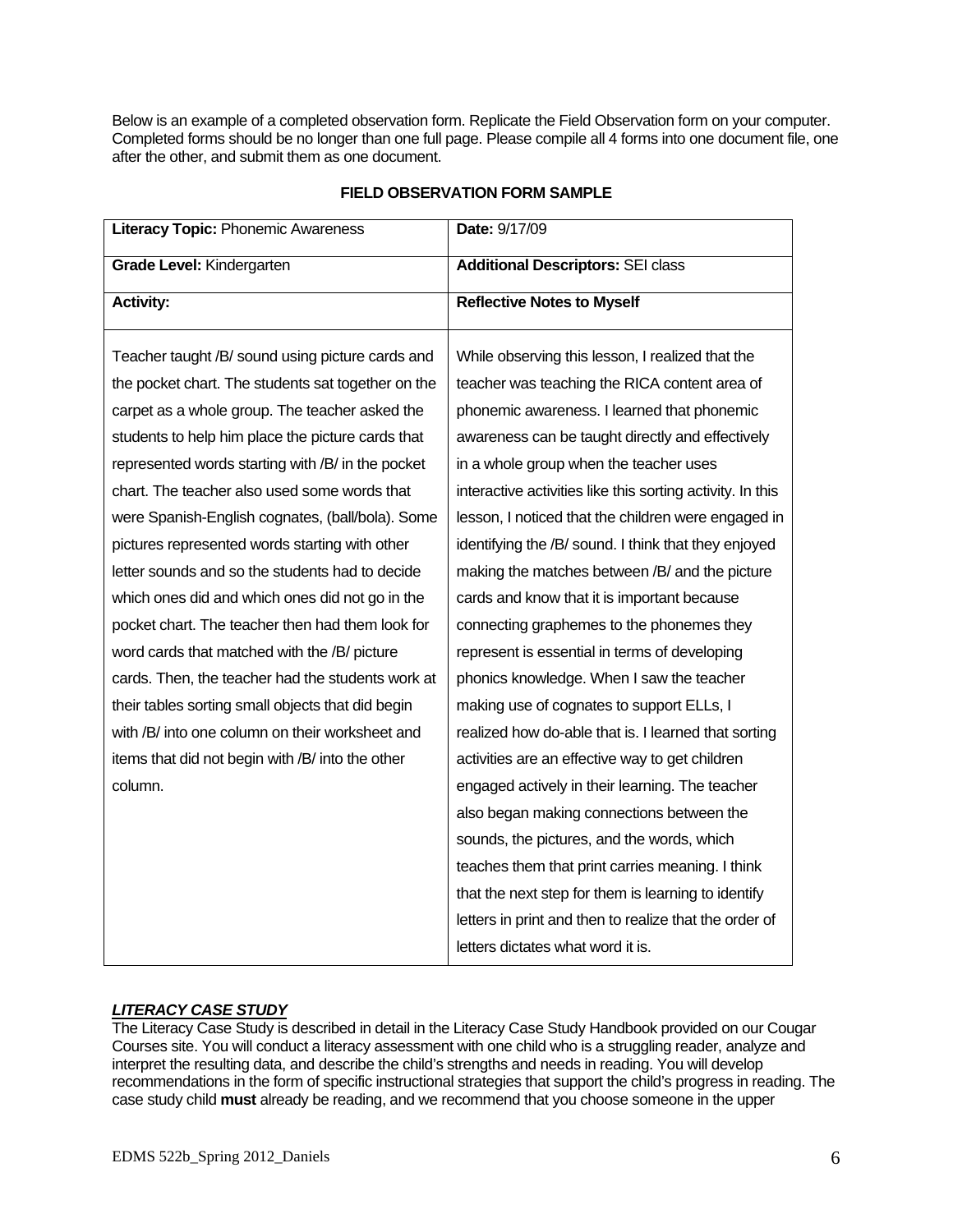Below is an example of a completed observation form. Replicate the Field Observation form on your computer. Completed forms should be no longer than one full page. Please compile all 4 forms into one document file, one after the other, and submit them as one document.

| Literacy Topic: Phonemic Awareness                 | Date: 9/17/09                                              |  |
|----------------------------------------------------|------------------------------------------------------------|--|
| Grade Level: Kindergarten                          | <b>Additional Descriptors: SEI class</b>                   |  |
| <b>Activity:</b>                                   | <b>Reflective Notes to Myself</b>                          |  |
| Teacher taught /B/ sound using picture cards and   | While observing this lesson, I realized that the           |  |
| the pocket chart. The students sat together on the | teacher was teaching the RICA content area of              |  |
| carpet as a whole group. The teacher asked the     | phonemic awareness. I learned that phonemic                |  |
| students to help him place the picture cards that  | awareness can be taught directly and effectively           |  |
| represented words starting with /B/ in the pocket  | in a whole group when the teacher uses                     |  |
| chart. The teacher also used some words that       | interactive activities like this sorting activity. In this |  |
| were Spanish-English cognates, (ball/bola). Some   | lesson, I noticed that the children were engaged in        |  |
| pictures represented words starting with other     | identifying the /B/ sound. I think that they enjoyed       |  |
| letter sounds and so the students had to decide    | making the matches between /B/ and the picture             |  |
| which ones did and which ones did not go in the    | cards and know that it is important because                |  |
| pocket chart. The teacher then had them look for   | connecting graphemes to the phonemes they                  |  |
| word cards that matched with the /B/ picture       | represent is essential in terms of developing              |  |
| cards. Then, the teacher had the students work at  | phonics knowledge. When I saw the teacher                  |  |
| their tables sorting small objects that did begin  | making use of cognates to support ELLs, I                  |  |
| with /B/ into one column on their worksheet and    | realized how do-able that is. I learned that sorting       |  |
| items that did not begin with /B/ into the other   | activities are an effective way to get children            |  |
| column.                                            | engaged actively in their learning. The teacher            |  |
|                                                    | also began making connections between the                  |  |
|                                                    | sounds, the pictures, and the words, which                 |  |
|                                                    | teaches them that print carries meaning. I think           |  |
|                                                    | that the next step for them is learning to identify        |  |
|                                                    | letters in print and then to realize that the order of     |  |
|                                                    | letters dictates what word it is.                          |  |

# **FIELD OBSERVATION FORM SAMPLE**

# *LITERACY CASE STUDY*

The Literacy Case Study is described in detail in the Literacy Case Study Handbook provided on our Cougar Courses site. You will conduct a literacy assessment with one child who is a struggling reader, analyze and interpret the resulting data, and describe the child's strengths and needs in reading. You will develop recommendations in the form of specific instructional strategies that support the child's progress in reading. The case study child **must** already be reading, and we recommend that you choose someone in the upper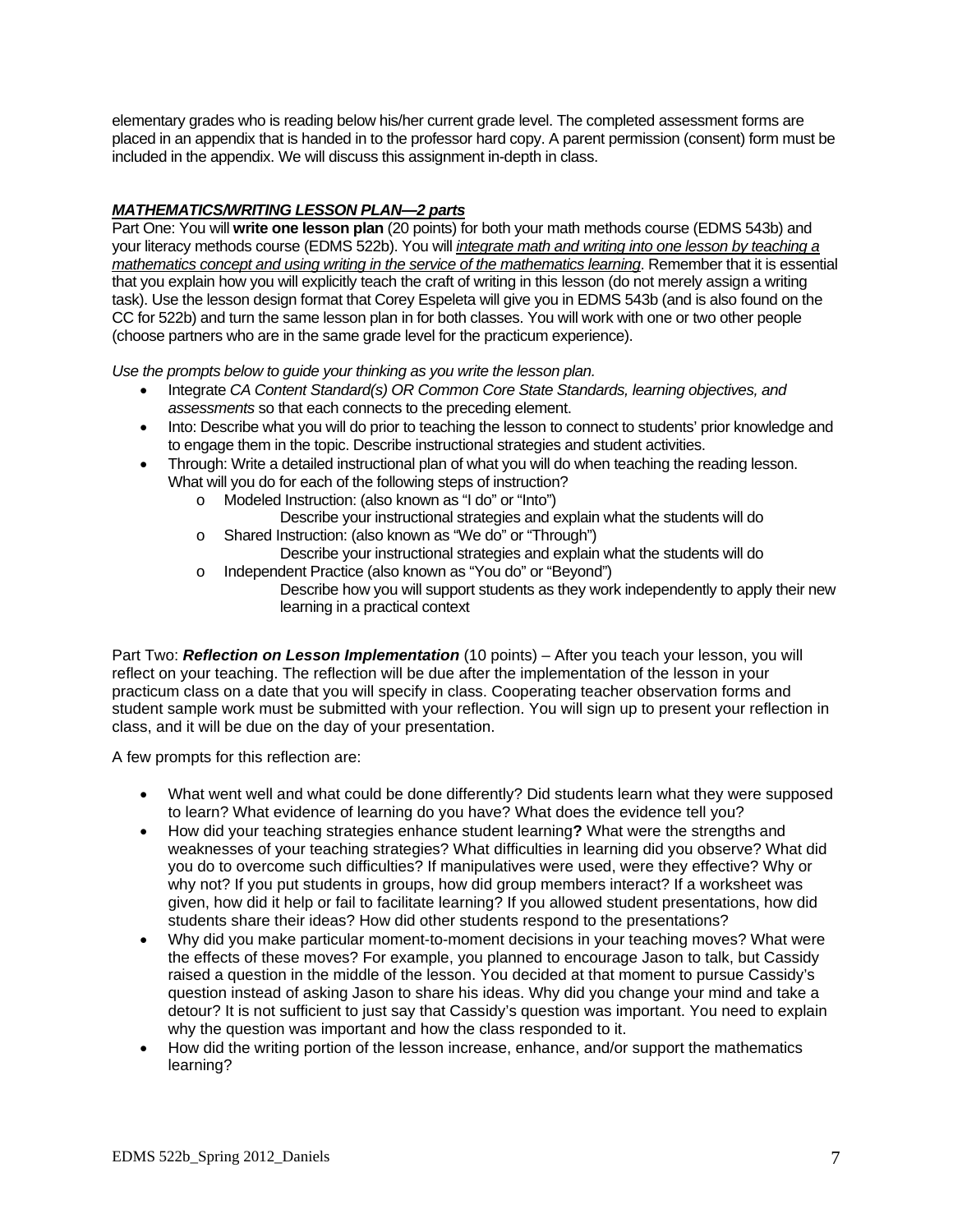elementary grades who is reading below his/her current grade level. The completed assessment forms are placed in an appendix that is handed in to the professor hard copy. A parent permission (consent) form must be included in the appendix. We will discuss this assignment in-depth in class.

# *MATHEMATICS/WRITING LESSON PLAN—2 parts*

Part One: You will **write one lesson plan** (20 points) for both your math methods course (EDMS 543b) and your literacy methods course (EDMS 522b). You will *integrate math and writing into one lesson by teaching a mathematics concept and using writing in the service of the mathematics learning*. Remember that it is essential that you explain how you will explicitly teach the craft of writing in this lesson (do not merely assign a writing task). Use the lesson design format that Corey Espeleta will give you in EDMS 543b (and is also found on the CC for 522b) and turn the same lesson plan in for both classes. You will work with one or two other people (choose partners who are in the same grade level for the practicum experience).

*Use the prompts below to guide your thinking as you write the lesson plan.* 

- Integrate *CA Content Standard(s) OR Common Core State Standards, learning objectives, and assessments* so that each connects to the preceding element.
- Into: Describe what you will do prior to teaching the lesson to connect to students' prior knowledge and to engage them in the topic. Describe instructional strategies and student activities.
- Through: Write a detailed instructional plan of what you will do when teaching the reading lesson.
	- What will you do for each of the following steps of instruction?
		- o Modeled Instruction: (also known as "I do" or "Into") Describe your instructional strategies and explain what the students will do
		- o Shared Instruction: (also known as "We do" or "Through") Describe your instructional strategies and explain what the students will do
		- o Independent Practice (also known as "You do" or "Beyond") Describe how you will support students as they work independently to apply their new learning in a practical context

Part Two: *Reflection on Lesson Implementation* (10 points) – After you teach your lesson, you will reflect on your teaching. The reflection will be due after the implementation of the lesson in your practicum class on a date that you will specify in class. Cooperating teacher observation forms and student sample work must be submitted with your reflection. You will sign up to present your reflection in class, and it will be due on the day of your presentation.

A few prompts for this reflection are:

- What went well and what could be done differently? Did students learn what they were supposed to learn? What evidence of learning do you have? What does the evidence tell you?
- How did your teaching strategies enhance student learning**?** What were the strengths and weaknesses of your teaching strategies? What difficulties in learning did you observe? What did you do to overcome such difficulties? If manipulatives were used, were they effective? Why or why not? If you put students in groups, how did group members interact? If a worksheet was given, how did it help or fail to facilitate learning? If you allowed student presentations, how did students share their ideas? How did other students respond to the presentations?
- Why did you make particular moment-to-moment decisions in your teaching moves? What were the effects of these moves? For example, you planned to encourage Jason to talk, but Cassidy raised a question in the middle of the lesson. You decided at that moment to pursue Cassidy's question instead of asking Jason to share his ideas. Why did you change your mind and take a detour? It is not sufficient to just say that Cassidy's question was important. You need to explain why the question was important and how the class responded to it.
- How did the writing portion of the lesson increase, enhance, and/or support the mathematics learning?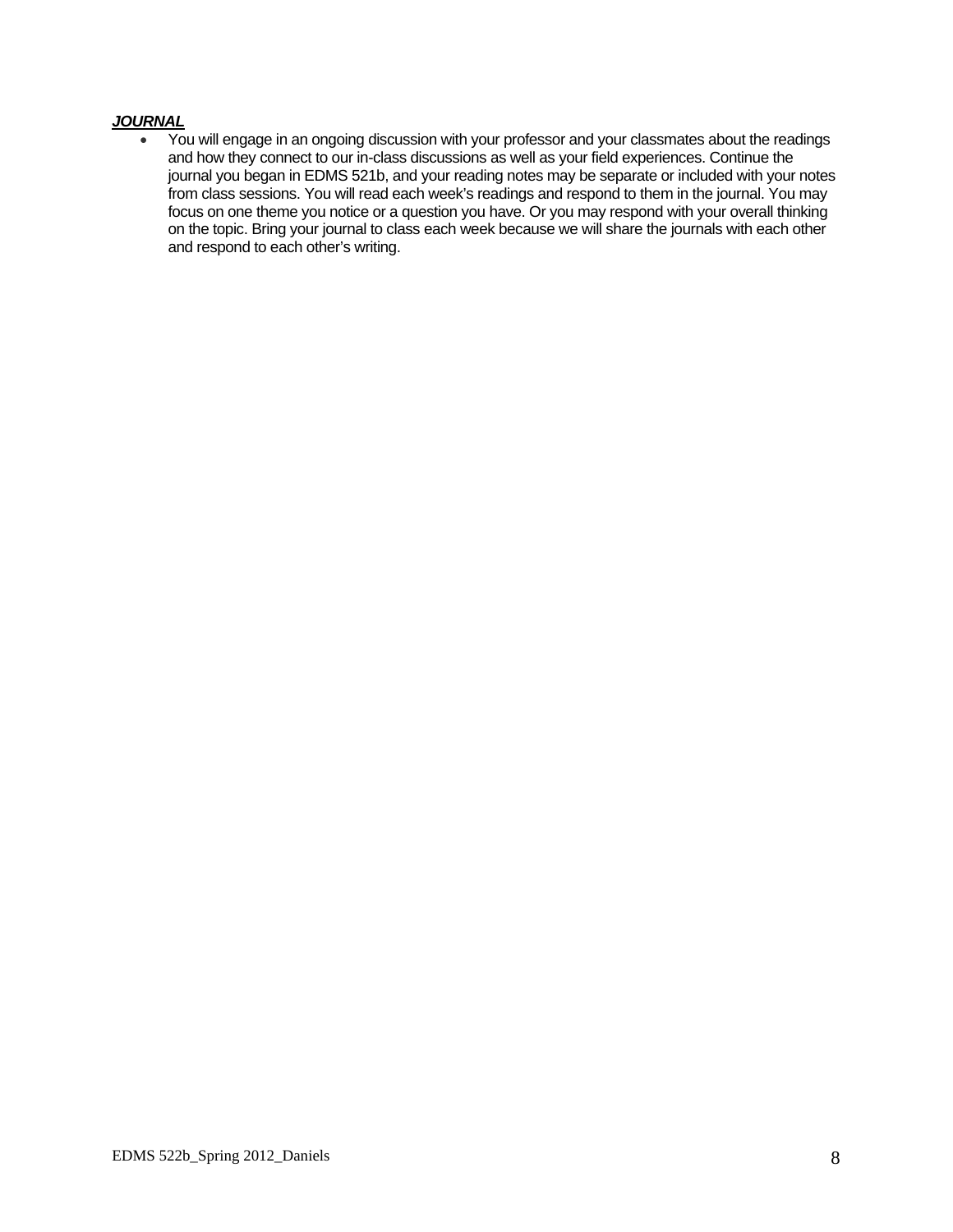## *JOURNAL*

 from class sessions. You will read each week's readings and respond to them in the journal. You may on the topic. Bring your journal to class each week because we will share the journals with each other You will engage in an ongoing discussion with your professor and your classmates about the readings and how they connect to our in-class discussions as well as your field experiences. Continue the journal you began in EDMS 521b, and your reading notes may be separate or included with your notes focus on one theme you notice or a question you have. Or you may respond with your overall thinking and respond to each other's writing.